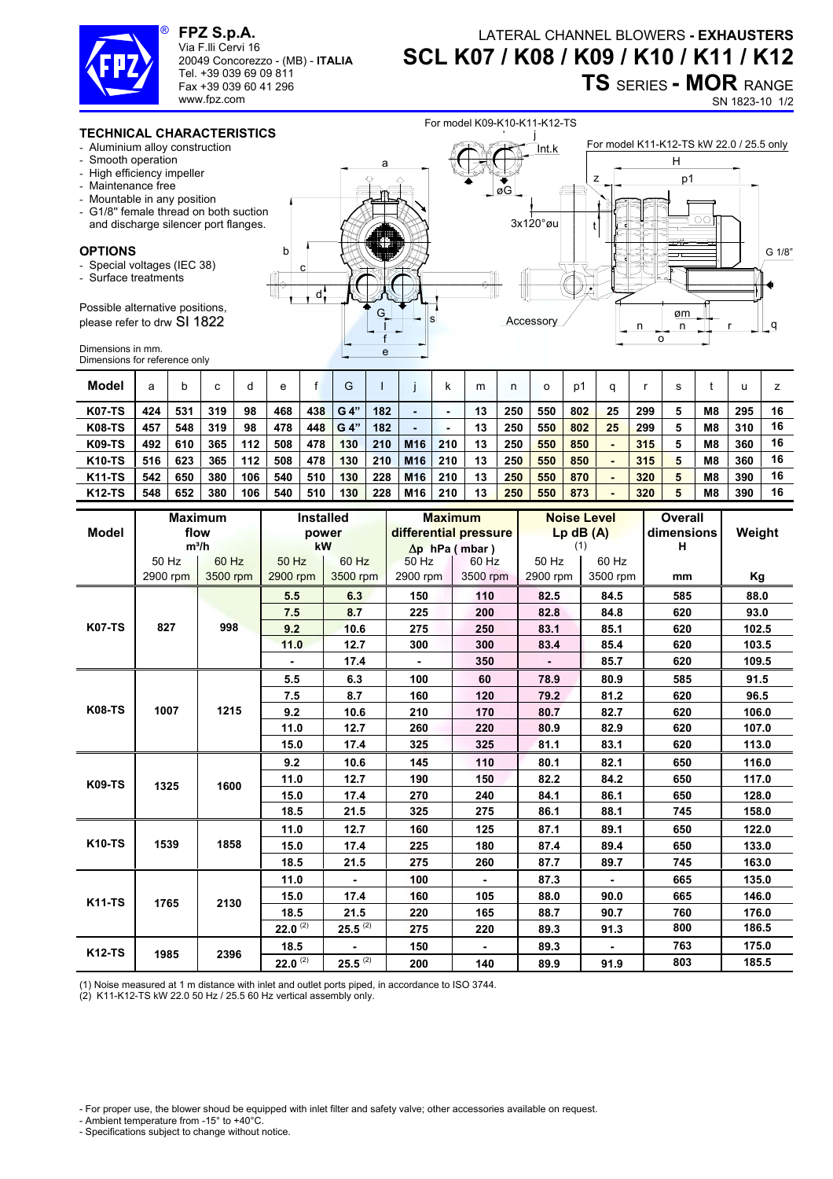

**FPZ S.p.A.**  Via F.lli Cervi 16

www.fpz.com

20049 Concorezzo - (MB) - **ITALIA** Tel. +39 039 69 09 811 Fax +39 039 60 41 296

## LATERAL CHANNEL BLOWERS **- EXHAUSTERS SCL K07 / K08 / K09 / K10 / K11 / K12 TS** SERIES **- MOR** RANGE

SN 1823-10 1/2

## **TECHNICAL CHARACTERISTICS**

- Aluminium alloy construction
- Smooth operation
- High efficiency impeller
- Maintenance free
- Mountable in any position
- G1/8'' female thread on both suction and discharge silencer port flanges.

## **OPTIONS**

- Special voltages (IEC 38)
- Surface treatments

Possible alternative positions, please refer to drw SI 1822

 $\frac{G}{T}$   $\frac{G}{T}$   $\frac{G}{T}$ e f I d c b a l j  $\bar{\bar{\mathsf{I}}}$ nt.k øG For model K11-K12-TS kW 22.0 / 25.5 only 3x120°øu t r o n n øm q z H p1 **Accessory** G 1/8"

For model K09-K10-K11-K12-TS

Dimensions in mm. Dimensions for reference only

| Model         | а   |     |     | a   | e   |     | G    |     |                 | κ   | m  | n   | о   | p1  | α  |     |                | u   |    |
|---------------|-----|-----|-----|-----|-----|-----|------|-----|-----------------|-----|----|-----|-----|-----|----|-----|----------------|-----|----|
| <b>K07-TS</b> | 424 | 531 | 319 | 98  | 468 | 438 | G 4" | 182 | -               |     | 13 | 250 | 550 | 802 | 25 | 299 | M <sub>8</sub> | 295 | 16 |
| <b>K08-TS</b> | 457 | 548 | 319 | 98  | 478 | 448 | G 4" | 182 | -               |     | 13 | 250 | 550 | 802 | 25 | 299 | M <sub>8</sub> | 310 | 16 |
| <b>K09-TS</b> | 492 | 610 | 365 | 112 | 508 | 478 | 130  | 210 | M <sub>16</sub> | 210 | 13 | 250 | 550 | 850 |    | 315 | M <sub>8</sub> | 360 | 16 |
| <b>K10-TS</b> | 516 | 623 | 365 | 112 | 508 | 478 | 130  | 210 | M16             | 210 | 13 | 250 | 550 | 850 |    | 315 | M <sub>8</sub> | 360 | 16 |
| <b>K11-TS</b> | 542 | 650 | 380 | 106 | 540 | 510 | 130  | 228 | M <sub>16</sub> | 210 | 13 | 250 | 550 | 870 |    | 320 | M <sub>8</sub> | 390 | 16 |
| <b>K12-TS</b> | 548 | 652 | 380 | 106 | 540 | 510 | 130  | 228 | M <sub>16</sub> | 210 | 13 | 250 | 550 | 873 |    | 320 | M8             | 390 | 16 |

|               |          | <b>Maximum</b> |              | <b>Installed</b> |          | <b>Maximum</b>        |                | <b>Noise Level</b> | <b>Overall</b> |        |  |
|---------------|----------|----------------|--------------|------------------|----------|-----------------------|----------------|--------------------|----------------|--------|--|
| <b>Model</b>  | flow     |                |              | power            |          | differential pressure |                | $Lp$ dB $(A)$      | dimensions     | Weight |  |
|               | $m^3/h$  |                |              | kW               |          | $\Delta p$ hPa (mbar) |                | (1)                | н              |        |  |
|               | 50 Hz    | 60 Hz          | 50 Hz        | 60 Hz            | 50 Hz    | 60 Hz                 | 50 Hz          | 60 Hz              |                |        |  |
|               | 2900 rpm | 3500 rpm       | 2900 rpm     | 3500 rpm         | 2900 rpm | 3500 rpm              | 2900 rpm       | 3500 rpm           | mm             | Kg     |  |
| <b>K07-TS</b> |          |                | 5.5          | 6.3              | 150      | 110                   | 82.5           | 84.5               | 585            | 88.0   |  |
|               |          | 998            | 7.5          | 8.7              | 225      | 200                   | 82.8           | 84.8               | 620            | 93.0   |  |
|               | 827      |                | 9.2          | 10.6             | 275      | 250                   | 83.1           | 85.1               | 620            | 102.5  |  |
|               |          |                | 11.0         | 12.7             | 300      | 300                   | 83.4           | 85.4               | 620            | 103.5  |  |
|               |          |                |              | 17.4             |          | 350                   | $\blacksquare$ | 85.7               | 620            | 109.5  |  |
| <b>K08-TS</b> |          |                | 5.5          | 6.3              | 100      | 60                    | 78.9           | 80.9               | 585            | 91.5   |  |
|               |          | 1215           | 7.5          | 8.7              | 160      | 120                   | 79.2           | 81.2               | 620            | 96.5   |  |
|               | 1007     |                | 9.2          | 10.6             | 210      | 170                   | 80.7           | 82.7               | 620            | 106.0  |  |
|               |          |                | 11.0         | 12.7             | 260      | 220                   | 80.9           | 82.9               | 620            | 107.0  |  |
|               |          |                | 15.0         | 17.4             | 325      | 325                   | 81.1           | 83.1               | 620            | 113.0  |  |
| <b>K09-TS</b> |          | 1600           | 9.2          | 10.6             | 145      | 110                   | 80.1           | 82.1               | 650            | 116.0  |  |
|               | 1325     |                | 11.0         | 12.7             | 190      | 150                   | 82.2           | 84.2               | 650            | 117.0  |  |
|               |          |                | 15.0         | 17.4             | 270      | 240                   | 84.1           | 86.1               | 650            | 128.0  |  |
|               |          |                | 18.5         | 21.5             | 325      | 275                   | 86.1           | 88.1               | 745            | 158.0  |  |
| <b>K10-TS</b> |          |                | 11.0         | 12.7             | 160      | 125                   | 87.1           | 89.1               | 650            | 122.0  |  |
|               | 1539     | 1858           | 15.0         | 17.4             | 225      | 180                   | 87.4           | 89.4               | 650            | 133.0  |  |
|               |          |                | 18.5         | 21.5             | 275      | 260                   | 87.7           | 89.7               | 745            | 163.0  |  |
| <b>K11-TS</b> |          | 2130           | 11.0         |                  | 100      |                       | 87.3           |                    | 665            | 135.0  |  |
|               | 1765     |                | 15.0         | 17.4             | 160      | 105                   | 88.0           | 90.0               | 665            | 146.0  |  |
|               |          |                | 18.5         | 21.5             | 220      | 165                   | 88.7           | 90.7               | 760            | 176.0  |  |
|               |          |                | $22.0^{(2)}$ | $25.5^{(2)}$     | 275      | 220                   | 89.3           | 91.3               | 800            | 186.5  |  |
| <b>K12-TS</b> | 1985     | 2396           | 18.5         |                  | 150      |                       | 89.3           |                    | 763            | 175.0  |  |
|               |          |                | 22.0 $(2)$   | $25.5^{(2)}$     | 200      | 140                   | 89.9           | 91.9               | 803            | 185.5  |  |

(1) Noise measured at 1 m distance with inlet and outlet ports piped, in accordance to ISO 3744.

(2) K11-K12-TS kW 22.0 50 Hz / 25.5 60 Hz vertical assembly only.

- For proper use, the blower shoud be equipped with inlet filter and safety valve; other accessories available on request.

- Ambient temperature from -15° to +40°C.
- Specifications subject to change without notice.